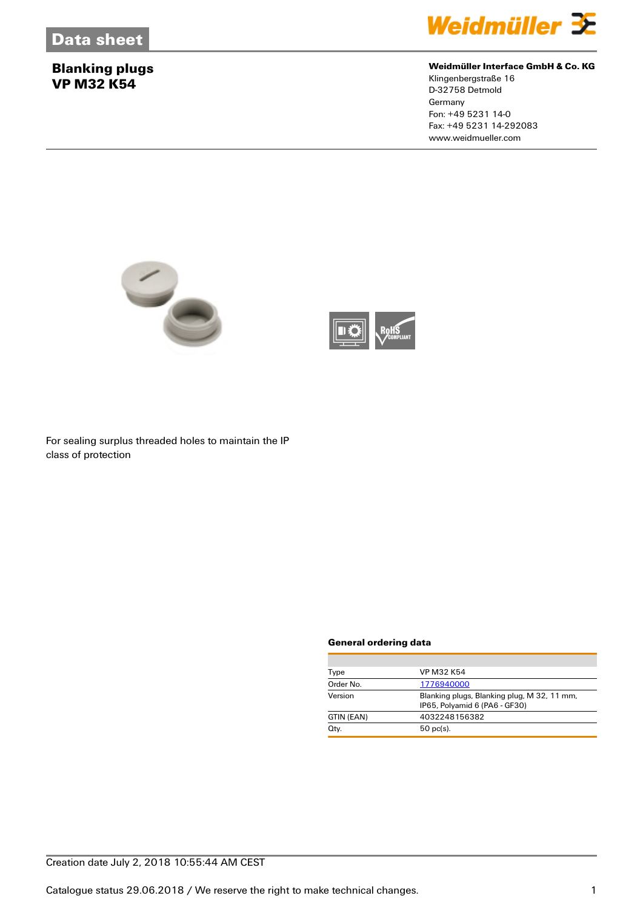## **Blanking plugs VP M32 K54**



### **Weidmüller Interface GmbH & Co. KG**

Klingenbergstraße 16 D-32758 Detmold Germany Fon: +49 5231 14-0 Fax: +49 5231 14-292083 www.weidmueller.com





For sealing surplus threaded holes to maintain the IP class of protection

#### **General ordering data**

| Type       | <b>VP M32 K54</b>                                                            |  |
|------------|------------------------------------------------------------------------------|--|
| Order No.  | 1776940000                                                                   |  |
| Version    | Blanking plugs, Blanking plug, M 32, 11 mm,<br>IP65, Polyamid 6 (PA6 - GF30) |  |
| GTIN (EAN) | 4032248156382                                                                |  |
| Qty.       | $50$ pc(s).                                                                  |  |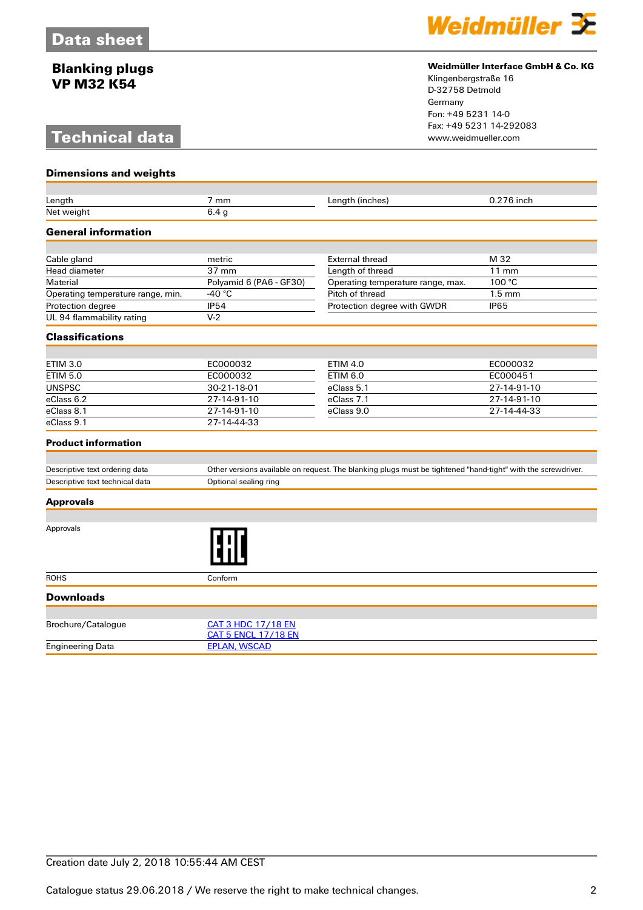## **Blanking plugs VP M32 K54**

# **Technical data**

**Dimensions and weights**



#### **Weidmüller Interface GmbH & Co. KG**

Klingenbergstraße 16 D-32758 Detmold Germany Fon: +49 5231 14-0 Fax: +49 5231 14-292083

| Length                            | 7 mm                                                                                                         | Length (inches)                   | 0.276 inch       |  |
|-----------------------------------|--------------------------------------------------------------------------------------------------------------|-----------------------------------|------------------|--|
| Net weight                        | 6.4 <sub>g</sub>                                                                                             |                                   |                  |  |
| <b>General information</b>        |                                                                                                              |                                   |                  |  |
|                                   |                                                                                                              |                                   |                  |  |
| Cable gland                       | metric                                                                                                       | <b>External thread</b>            | M 32             |  |
| Head diameter                     | 37 mm                                                                                                        | Length of thread                  | $11$ mm          |  |
| Material                          | Polyamid 6 (PA6 - GF30)                                                                                      | Operating temperature range, max. | 100 °C           |  |
| Operating temperature range, min. | -40 $^{\circ}$ C                                                                                             | Pitch of thread                   | $1.5 \text{ mm}$ |  |
| Protection degree                 | <b>IP54</b>                                                                                                  | Protection degree with GWDR       | <b>IP65</b>      |  |
| UL 94 flammability rating         | $V-2$                                                                                                        |                                   |                  |  |
| <b>Classifications</b>            |                                                                                                              |                                   |                  |  |
|                                   |                                                                                                              |                                   |                  |  |
| <b>ETIM 3.0</b>                   | EC000032                                                                                                     | <b>ETIM 4.0</b>                   | EC000032         |  |
| <b>ETIM 5.0</b>                   | EC000032                                                                                                     | <b>ETIM 6.0</b>                   | EC000451         |  |
| <b>UNSPSC</b>                     | 30-21-18-01                                                                                                  | eClass 5.1                        | 27-14-91-10      |  |
| eClass 6.2                        | 27-14-91-10                                                                                                  | eClass 7.1                        | 27-14-91-10      |  |
| eClass 8.1                        | 27-14-91-10                                                                                                  | eClass 9.0                        | 27-14-44-33      |  |
| eClass 9.1                        | 27-14-44-33                                                                                                  |                                   |                  |  |
| <b>Product information</b>        |                                                                                                              |                                   |                  |  |
|                                   |                                                                                                              |                                   |                  |  |
| Descriptive text ordering data    | Other versions available on request. The blanking plugs must be tightened "hand-tight" with the screwdriver. |                                   |                  |  |
| Descriptive text technical data   | Optional sealing ring                                                                                        |                                   |                  |  |
| <b>Approvals</b>                  |                                                                                                              |                                   |                  |  |
|                                   |                                                                                                              |                                   |                  |  |
| Approvals                         |                                                                                                              |                                   |                  |  |
| <b>ROHS</b>                       | Conform                                                                                                      |                                   |                  |  |
| <b>Downloads</b>                  |                                                                                                              |                                   |                  |  |
|                                   |                                                                                                              |                                   |                  |  |
| Brochure/Catalogue                | <b>CAT 3 HDC 17/18 EN</b><br><b>CAT 5 ENCL 17/18 EN</b>                                                      |                                   |                  |  |
| <b>Engineering Data</b>           | <b>EPLAN, WSCAD</b>                                                                                          |                                   |                  |  |